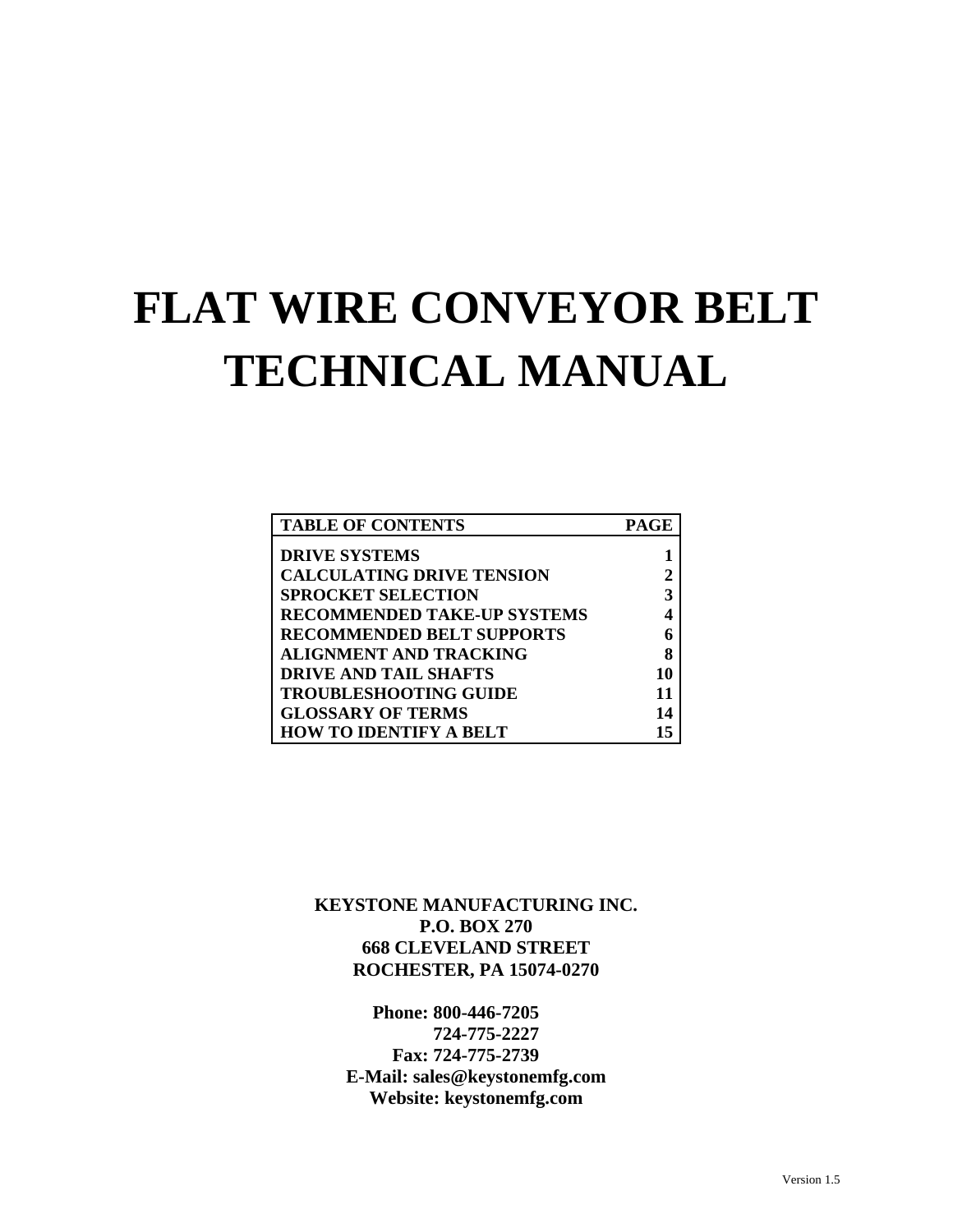# **FLAT WIRE CONVEYOR BELT TECHNICAL MANUAL**

| <b>TABLE OF CONTENTS</b>           | PAGE |
|------------------------------------|------|
| <b>DRIVE SYSTEMS</b>               |      |
| <b>CALCULATING DRIVE TENSION</b>   |      |
| <b>SPROCKET SELECTION</b>          | 3    |
| <b>RECOMMENDED TAKE-UP SYSTEMS</b> |      |
| <b>RECOMMENDED BELT SUPPORTS</b>   |      |
| <b>ALIGNMENT AND TRACKING</b>      | 8    |
| <b>DRIVE AND TAIL SHAFTS</b>       | 10   |
| <b>TROUBLESHOOTING GUIDE</b>       | 11   |
| <b>GLOSSARY OF TERMS</b>           | 14   |
| <b>HOW TO IDENTIFY A BELT</b>      |      |

**KEYSTONE MANUFACTURING INC. P.O. BOX 270 668 CLEVELAND STREET ROCHESTER, PA 15074-0270** 

**Phone: 800-446-7205 724-775-2227 Fax: 724-775-2739 E-Mail: sales@keystonemfg.com Website: keystonemfg.com**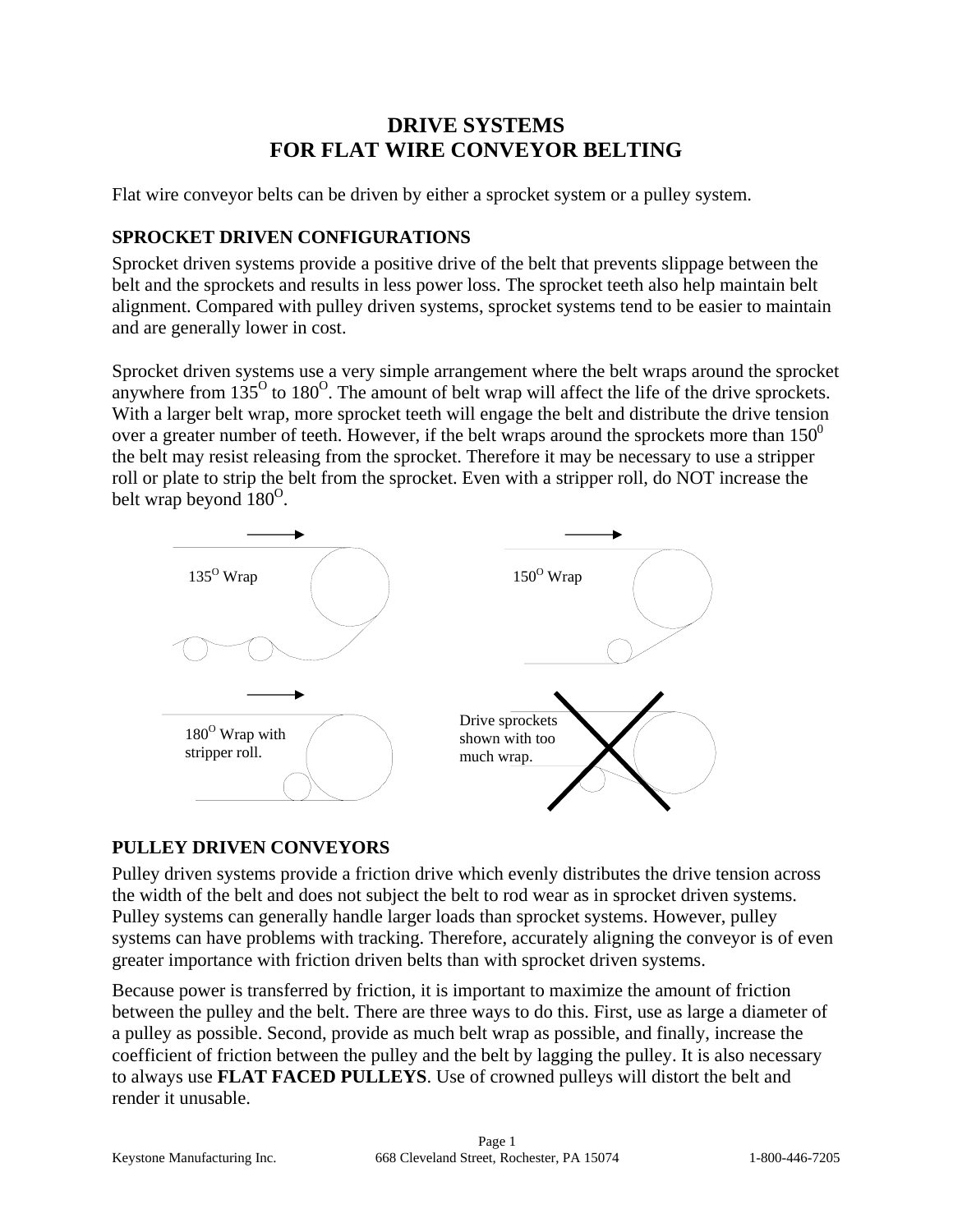## **DRIVE SYSTEMS FOR FLAT WIRE CONVEYOR BELTING**

Flat wire conveyor belts can be driven by either a sprocket system or a pulley system.

## **SPROCKET DRIVEN CONFIGURATIONS**

Sprocket driven systems provide a positive drive of the belt that prevents slippage between the belt and the sprockets and results in less power loss. The sprocket teeth also help maintain belt alignment. Compared with pulley driven systems, sprocket systems tend to be easier to maintain and are generally lower in cost.

Sprocket driven systems use a very simple arrangement where the belt wraps around the sprocket anywhere from  $135^{\circ}$  to  $180^{\circ}$ . The amount of belt wrap will affect the life of the drive sprockets. With a larger belt wrap, more sprocket teeth will engage the belt and distribute the drive tension over a greater number of teeth. However, if the belt wraps around the sprockets more than  $150^0$ the belt may resist releasing from the sprocket. Therefore it may be necessary to use a stripper roll or plate to strip the belt from the sprocket. Even with a stripper roll, do NOT increase the belt wrap beyond  $180^{\circ}$ .



## **PULLEY DRIVEN CONVEYORS**

Pulley driven systems provide a friction drive which evenly distributes the drive tension across the width of the belt and does not subject the belt to rod wear as in sprocket driven systems. Pulley systems can generally handle larger loads than sprocket systems. However, pulley systems can have problems with tracking. Therefore, accurately aligning the conveyor is of even greater importance with friction driven belts than with sprocket driven systems.

Because power is transferred by friction, it is important to maximize the amount of friction between the pulley and the belt. There are three ways to do this. First, use as large a diameter of a pulley as possible. Second, provide as much belt wrap as possible, and finally, increase the coefficient of friction between the pulley and the belt by lagging the pulley. It is also necessary to always use **FLAT FACED PULLEYS**. Use of crowned pulleys will distort the belt and render it unusable.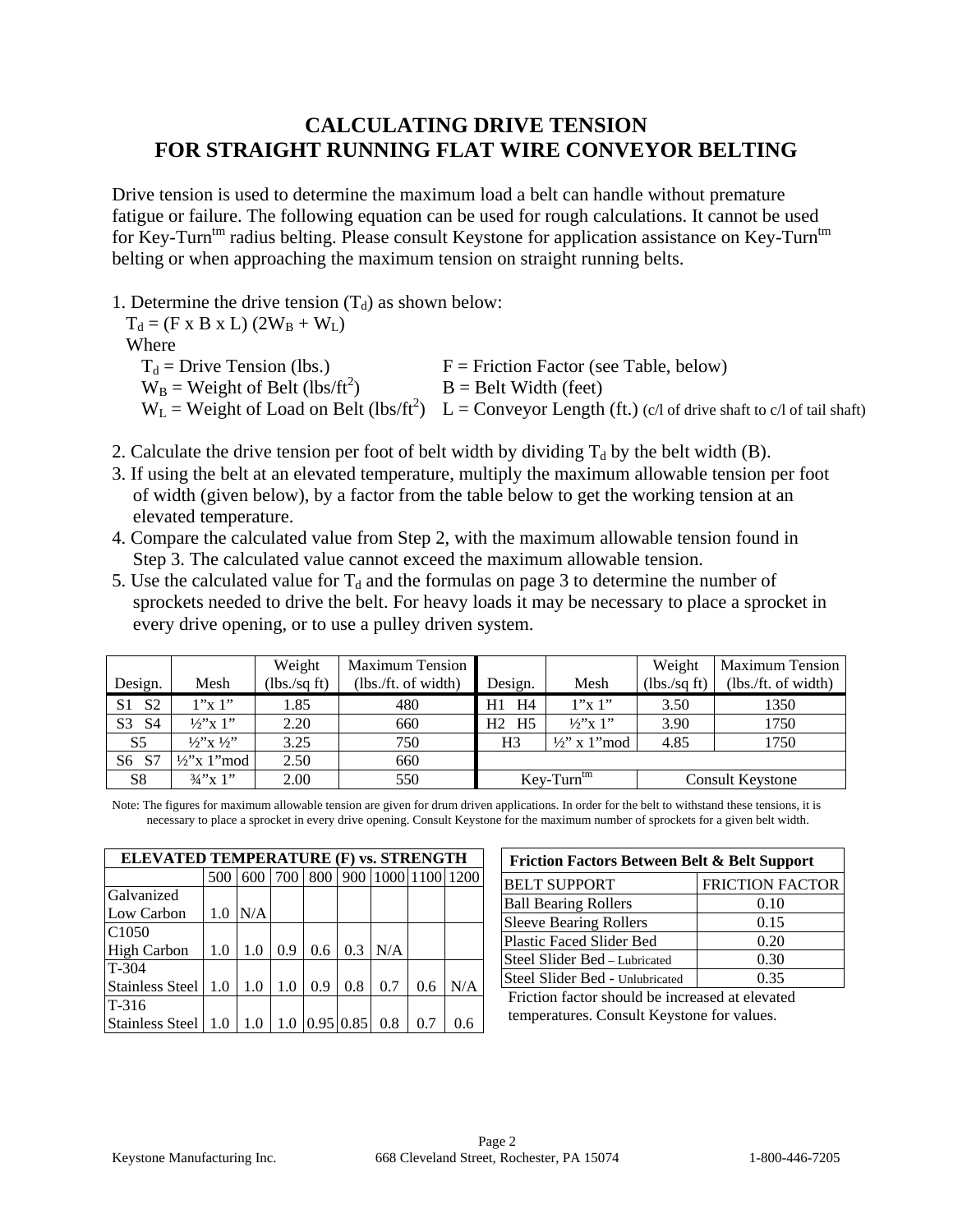## **CALCULATING DRIVE TENSION FOR STRAIGHT RUNNING FLAT WIRE CONVEYOR BELTING**

Drive tension is used to determine the maximum load a belt can handle without premature fatigue or failure. The following equation can be used for rough calculations. It cannot be used for Key-Turn<sup>tm</sup> radius belting. Please consult Keystone for application assistance on Key-Turn<sup>tm</sup> belting or when approaching the maximum tension on straight running belts.

1. Determine the drive tension  $(T_d)$  as shown below:

 $T_d = (F \times B \times L) (2W_B + W_L)$ Where  $T_d$  = Drive Tension (lbs.)  $F$  = Friction Factor (see Table, below)  $W_B$  = Weight of Belt (lbs/ft<sup>2</sup>)  $B =$  Belt Width (feet)  $W_L$  = Weight of Load on Belt (lbs/ft<sup>2</sup>) L = Conveyor Length (ft.) (c/l of drive shaft to c/l of tail shaft)

- 2. Calculate the drive tension per foot of belt width by dividing  $T_d$  by the belt width (B).
- 3. If using the belt at an elevated temperature, multiply the maximum allowable tension per foot of width (given below), by a factor from the table below to get the working tension at an elevated temperature.
- 4. Compare the calculated value from Step 2, with the maximum allowable tension found in Step 3. The calculated value cannot exceed the maximum allowable tension.
- 5. Use the calculated value for  $T_d$  and the formulas on page 3 to determine the number of sprockets needed to drive the belt. For heavy loads it may be necessary to place a sprocket in every drive opening, or to use a pulley driven system.

|                       |                                          | Weight       | <b>Maximum Tension</b> |                                         |                          | Weight         | <b>Maximum Tension</b> |
|-----------------------|------------------------------------------|--------------|------------------------|-----------------------------------------|--------------------------|----------------|------------------------|
| Design.               | Mesh                                     | (lbs./sq ft) | (lbs. / ft. of width)  | Design.                                 | Mesh                     | $(lbs./sq$ ft) | (lbs. / ft. of width)  |
| S1 S2                 | 1"x 1"                                   | 1.85         | 480                    | H1 H4                                   | 1''x1''                  | 3.50           | 1350                   |
| S <sub>3</sub><br>-S4 | $\frac{1}{2}$ x 1"                       | 2.20         | 660                    | H <sub>2</sub> H <sub>5</sub>           | $\frac{1}{2}$ x 1"       | 3.90           | 1750                   |
| S <sub>5</sub>        | $1/2$ <sup>'</sup> x $1/2$ <sup>''</sup> | 3.25         | 750                    | H <sub>3</sub>                          | $\frac{1}{2}$ " x 1" mod | 4.85           | 1750                   |
| S6 S7                 | $\frac{1}{2}$ x 1 mod                    | 2.50         | 660                    |                                         |                          |                |                        |
| S <sub>8</sub>        | $\frac{3}{4}$ "x 1"                      | 2.00         | 550                    | $Key-Turntm$<br><b>Consult Keystone</b> |                          |                |                        |

Note: The figures for maximum allowable tension are given for drum driven applications. In order for the belt to withstand these tensions, it is necessary to place a sprocket in every drive opening. Consult Keystone for the maximum number of sprockets for a given belt width.

| ELEVATED TEMPERATURE (F) vs. STRENGTH                 |     |     |     |     |     |     |                                   |     |
|-------------------------------------------------------|-----|-----|-----|-----|-----|-----|-----------------------------------|-----|
|                                                       |     |     |     |     |     |     | 500 600 700 800 900 1000 100 1200 |     |
| Galvanized                                            |     |     |     |     |     |     |                                   |     |
| Low Carbon                                            | 1.0 | N/A |     |     |     |     |                                   |     |
| C <sub>1050</sub>                                     |     |     |     |     |     |     |                                   |     |
| <b>High Carbon</b>                                    | 1.0 | 1.0 | 0.9 | 0.6 | 0.3 | N/A |                                   |     |
| $T-304$                                               |     |     |     |     |     |     |                                   |     |
| Stainless Steel   1.0   1.0                           |     |     | 1.0 | 0.9 | 0.8 | 0.7 | 0.6                               | N/A |
| $T-316$                                               |     |     |     |     |     |     |                                   |     |
| Stainless Steel   1.0   1.0   1.0   0.95   0.85   0.8 |     |     |     |     |     |     | 0.7                               | 0.6 |

| <b>Friction Factors Between Belt &amp; Belt Support</b> |                        |  |  |  |
|---------------------------------------------------------|------------------------|--|--|--|
| <b>BELT SUPPORT</b>                                     | <b>FRICTION FACTOR</b> |  |  |  |
| <b>Ball Bearing Rollers</b>                             | 0.10                   |  |  |  |
| <b>Sleeve Bearing Rollers</b>                           | 0.15                   |  |  |  |
| <b>Plastic Faced Slider Bed</b>                         | 0.20                   |  |  |  |
| Steel Slider Bed - Lubricated                           | 0.30                   |  |  |  |
| Steel Slider Bed - Unlubricated                         | 0.35                   |  |  |  |

Friction factor should be increased at elevated temperatures. Consult Keystone for values.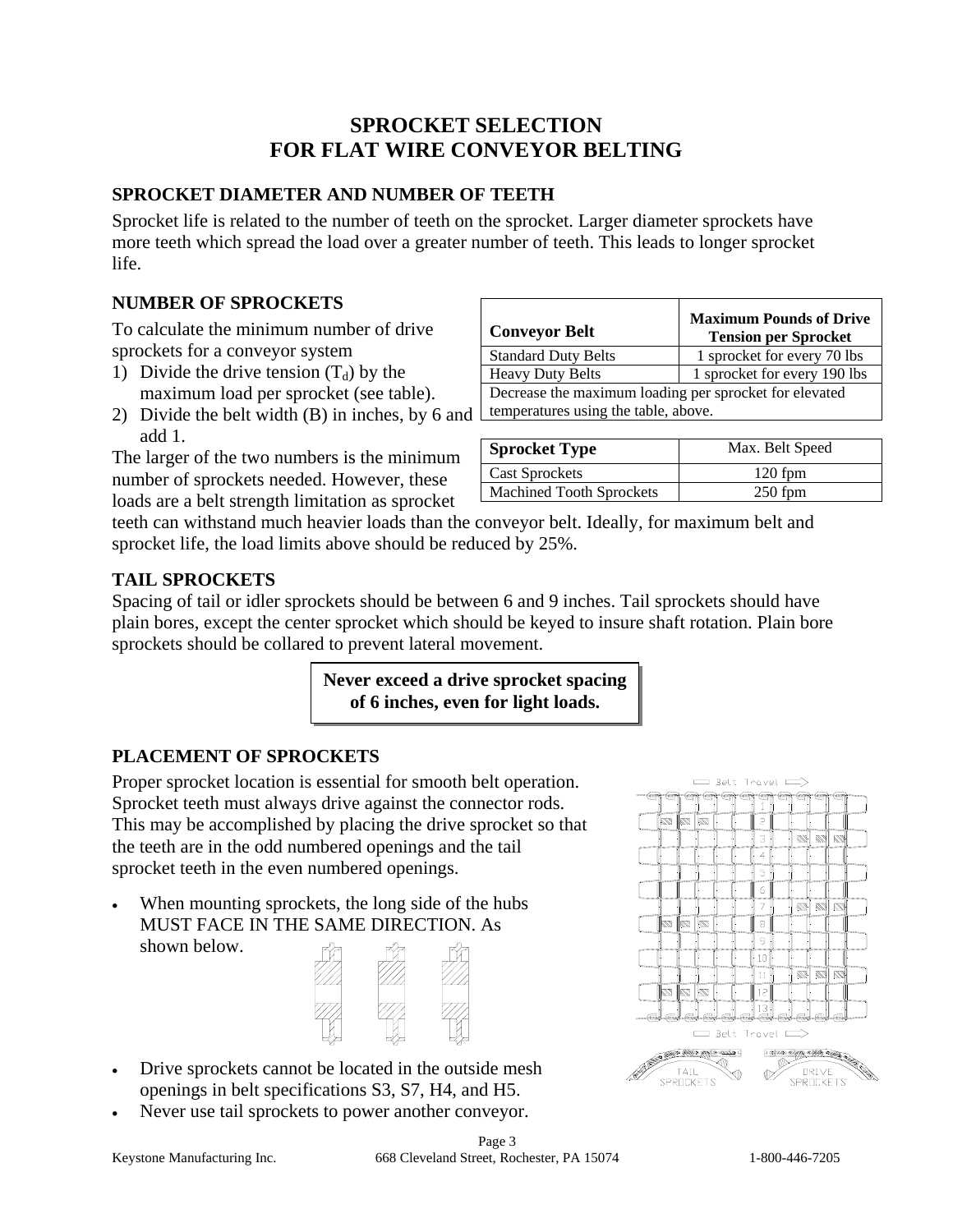## **SPROCKET SELECTION FOR FLAT WIRE CONVEYOR BELTING**

## **SPROCKET DIAMETER AND NUMBER OF TEETH**

Sprocket life is related to the number of teeth on the sprocket. Larger diameter sprockets have more teeth which spread the load over a greater number of teeth. This leads to longer sprocket life.

#### **NUMBER OF SPROCKETS**

To calculate the minimum number of drive sprockets for a conveyor system

- 1) Divide the drive tension  $(T_d)$  by the maximum load per sprocket (see table).
- 2) Divide the belt width (B) in inches, by 6 and add 1.

The larger of the two numbers is the minimum number of sprockets needed. However, these loads are a belt strength limitation as sprocket

| <b>Conveyor Belt</b>                                   | <b>Maximum Pounds of Drive</b><br><b>Tension per Sprocket</b> |  |
|--------------------------------------------------------|---------------------------------------------------------------|--|
| <b>Standard Duty Belts</b>                             | 1 sprocket for every 70 lbs                                   |  |
| <b>Heavy Duty Belts</b>                                | 1 sprocket for every 190 lbs                                  |  |
| Decrease the maximum loading per sprocket for elevated |                                                               |  |
| temperatures using the table, above.                   |                                                               |  |
|                                                        |                                                               |  |

| <b>Sprocket Type</b>            | Max. Belt Speed |
|---------------------------------|-----------------|
| <b>Cast Sprockets</b>           | $120$ fpm       |
| <b>Machined Tooth Sprockets</b> | $250$ fpm       |

teeth can withstand much heavier loads than the conveyor belt. Ideally, for maximum belt and sprocket life, the load limits above should be reduced by 25%.

## **TAIL SPROCKETS**

Spacing of tail or idler sprockets should be between 6 and 9 inches. Tail sprockets should have plain bores, except the center sprocket which should be keyed to insure shaft rotation. Plain bore sprockets should be collared to prevent lateral movement.

> **Never exceed a drive sprocket spacing of 6 inches, even for light loads.**

## **PLACEMENT OF SPROCKETS**

Proper sprocket location is essential for smooth belt operation. Sprocket teeth must always drive against the connector rods. This may be accomplished by placing the drive sprocket so that the teeth are in the odd numbered openings and the tail sprocket teeth in the even numbered openings.

When mounting sprockets, the long side of the hubs MUST FACE IN THE SAME DIRECTION. As shown below.



- Drive sprockets cannot be located in the outside mesh openings in belt specifications S3, S7, H4, and H5.
- Never use tail sprockets to power another conveyor.



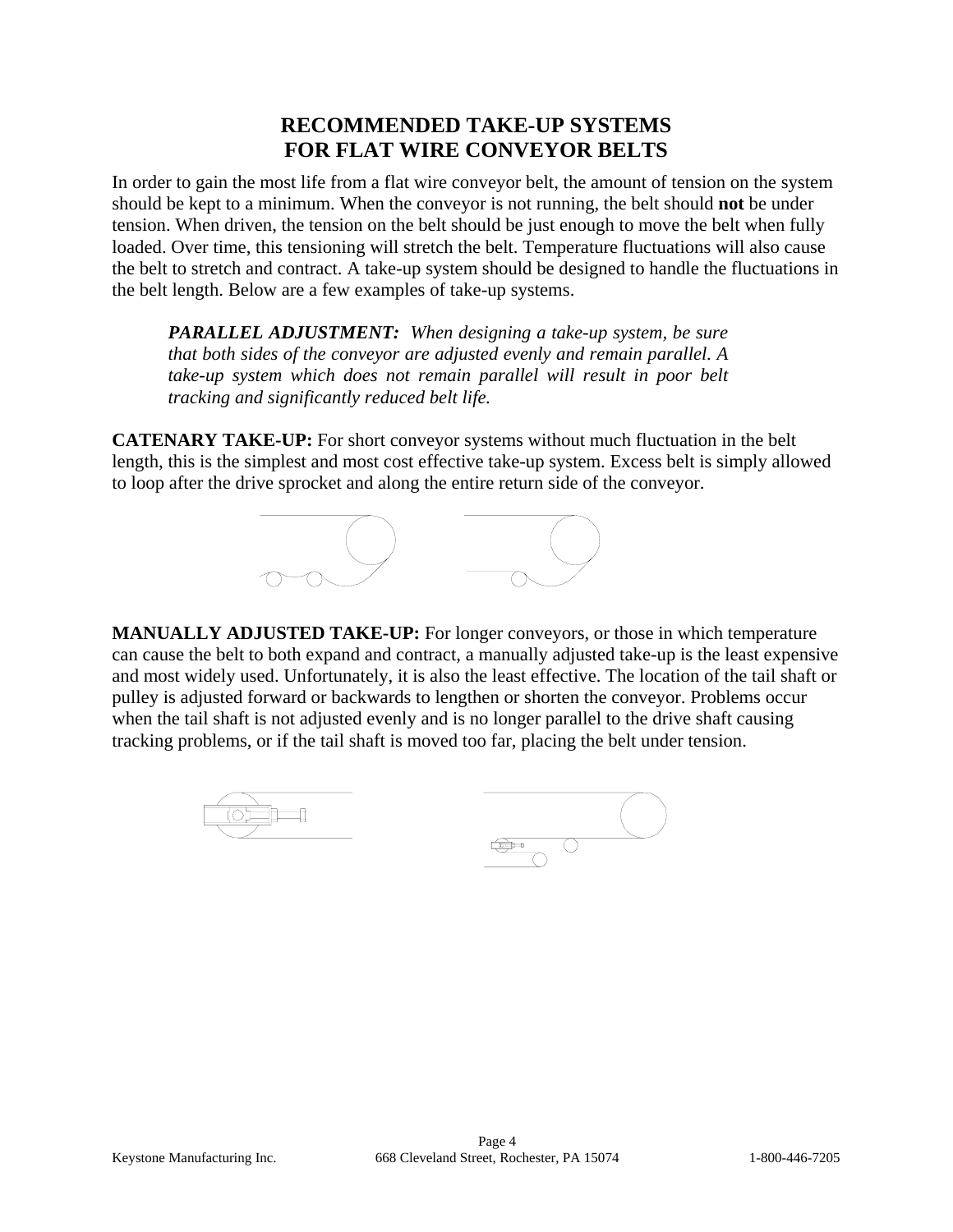## **RECOMMENDED TAKE-UP SYSTEMS FOR FLAT WIRE CONVEYOR BELTS**

In order to gain the most life from a flat wire conveyor belt, the amount of tension on the system should be kept to a minimum. When the conveyor is not running, the belt should **not** be under tension. When driven, the tension on the belt should be just enough to move the belt when fully loaded. Over time, this tensioning will stretch the belt. Temperature fluctuations will also cause the belt to stretch and contract. A take-up system should be designed to handle the fluctuations in the belt length. Below are a few examples of take-up systems.

*PARALLEL ADJUSTMENT: When designing a take-up system, be sure that both sides of the conveyor are adjusted evenly and remain parallel. A take-up system which does not remain parallel will result in poor belt tracking and significantly reduced belt life.* 

**CATENARY TAKE-UP:** For short conveyor systems without much fluctuation in the belt length, this is the simplest and most cost effective take-up system. Excess belt is simply allowed to loop after the drive sprocket and along the entire return side of the conveyor.



**MANUALLY ADJUSTED TAKE-UP:** For longer conveyors, or those in which temperature can cause the belt to both expand and contract, a manually adjusted take-up is the least expensive and most widely used. Unfortunately, it is also the least effective. The location of the tail shaft or pulley is adjusted forward or backwards to lengthen or shorten the conveyor. Problems occur when the tail shaft is not adjusted evenly and is no longer parallel to the drive shaft causing tracking problems, or if the tail shaft is moved too far, placing the belt under tension.

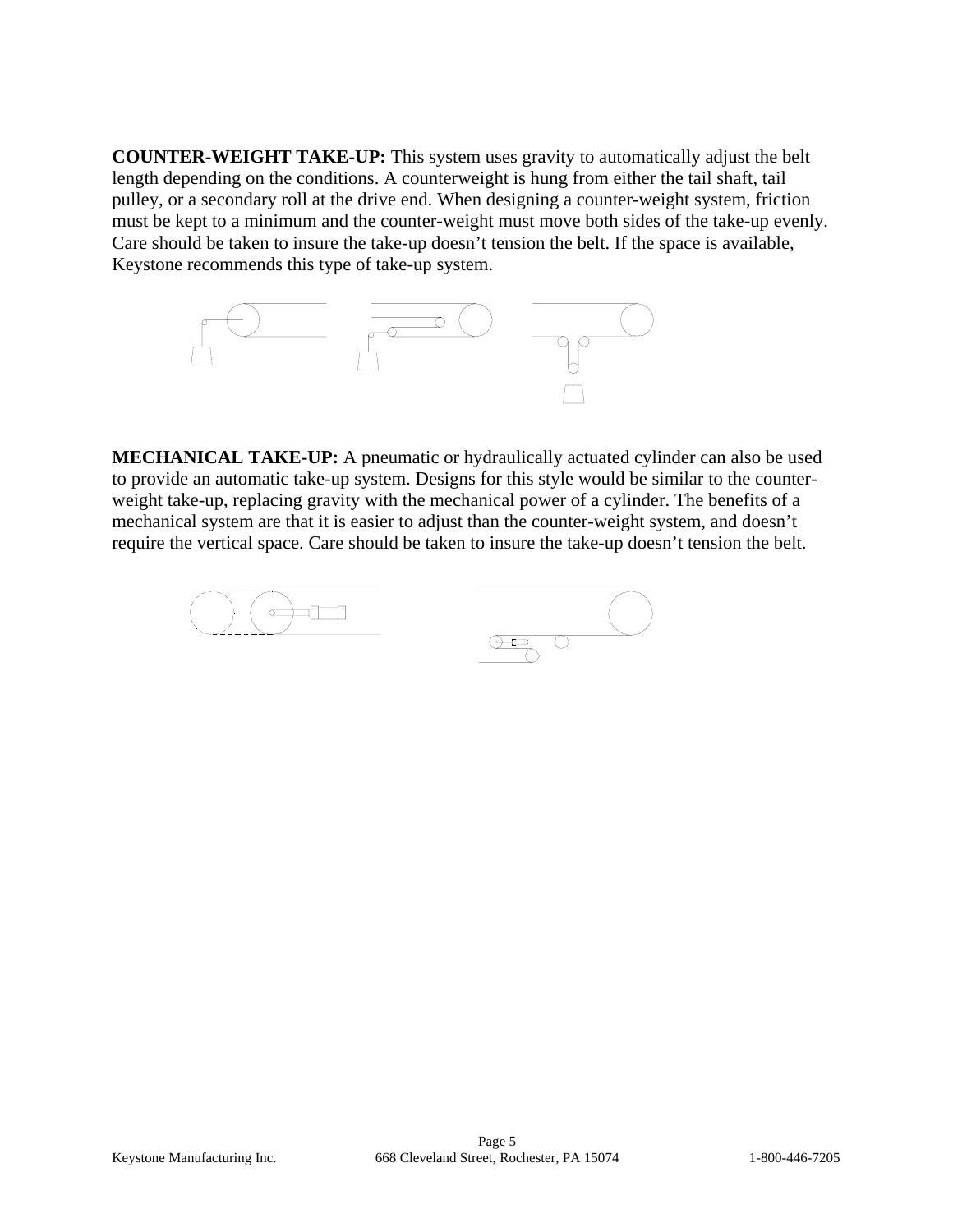**COUNTER-WEIGHT TAKE-UP:** This system uses gravity to automatically adjust the belt length depending on the conditions. A counterweight is hung from either the tail shaft, tail pulley, or a secondary roll at the drive end. When designing a counter-weight system, friction must be kept to a minimum and the counter-weight must move both sides of the take-up evenly. Care should be taken to insure the take-up doesn't tension the belt. If the space is available, Keystone recommends this type of take-up system.



**MECHANICAL TAKE-UP:** A pneumatic or hydraulically actuated cylinder can also be used to provide an automatic take-up system. Designs for this style would be similar to the counterweight take-up, replacing gravity with the mechanical power of a cylinder. The benefits of a mechanical system are that it is easier to adjust than the counter-weight system, and doesn't require the vertical space. Care should be taken to insure the take-up doesn't tension the belt.

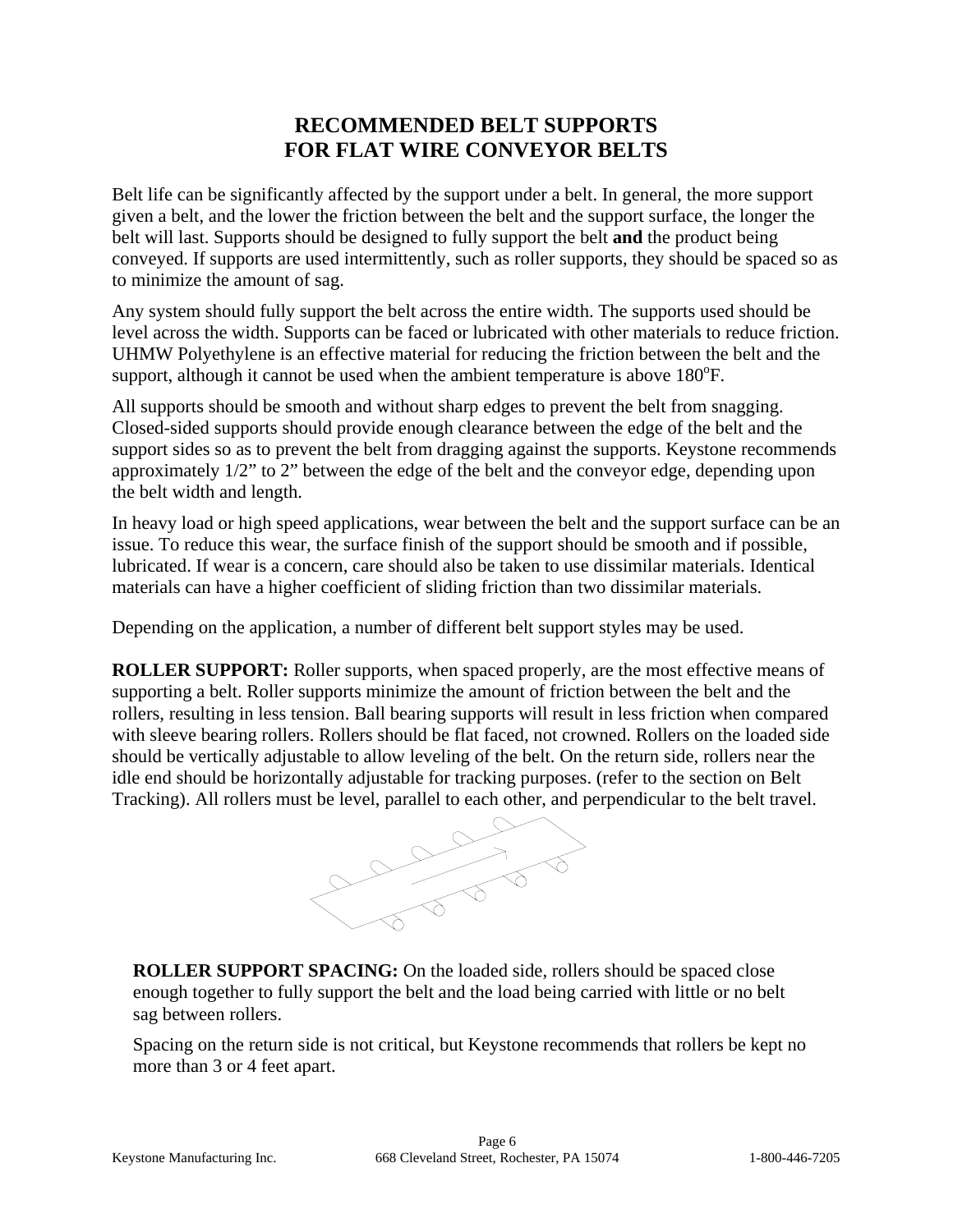## **RECOMMENDED BELT SUPPORTS FOR FLAT WIRE CONVEYOR BELTS**

Belt life can be significantly affected by the support under a belt. In general, the more support given a belt, and the lower the friction between the belt and the support surface, the longer the belt will last. Supports should be designed to fully support the belt **and** the product being conveyed. If supports are used intermittently, such as roller supports, they should be spaced so as to minimize the amount of sag.

Any system should fully support the belt across the entire width. The supports used should be level across the width. Supports can be faced or lubricated with other materials to reduce friction. UHMW Polyethylene is an effective material for reducing the friction between the belt and the support, although it cannot be used when the ambient temperature is above  $180^{\circ}$ F.

All supports should be smooth and without sharp edges to prevent the belt from snagging. Closed-sided supports should provide enough clearance between the edge of the belt and the support sides so as to prevent the belt from dragging against the supports. Keystone recommends approximately 1/2" to 2" between the edge of the belt and the conveyor edge, depending upon the belt width and length.

In heavy load or high speed applications, wear between the belt and the support surface can be an issue. To reduce this wear, the surface finish of the support should be smooth and if possible, lubricated. If wear is a concern, care should also be taken to use dissimilar materials. Identical materials can have a higher coefficient of sliding friction than two dissimilar materials.

Depending on the application, a number of different belt support styles may be used.

**ROLLER SUPPORT:** Roller supports, when spaced properly, are the most effective means of supporting a belt. Roller supports minimize the amount of friction between the belt and the rollers, resulting in less tension. Ball bearing supports will result in less friction when compared with sleeve bearing rollers. Rollers should be flat faced, not crowned. Rollers on the loaded side should be vertically adjustable to allow leveling of the belt. On the return side, rollers near the idle end should be horizontally adjustable for tracking purposes. (refer to the section on Belt Tracking). All rollers must be level, parallel to each other, and perpendicular to the belt travel.



**ROLLER SUPPORT SPACING:** On the loaded side, rollers should be spaced close enough together to fully support the belt and the load being carried with little or no belt sag between rollers.

Spacing on the return side is not critical, but Keystone recommends that rollers be kept no more than 3 or 4 feet apart.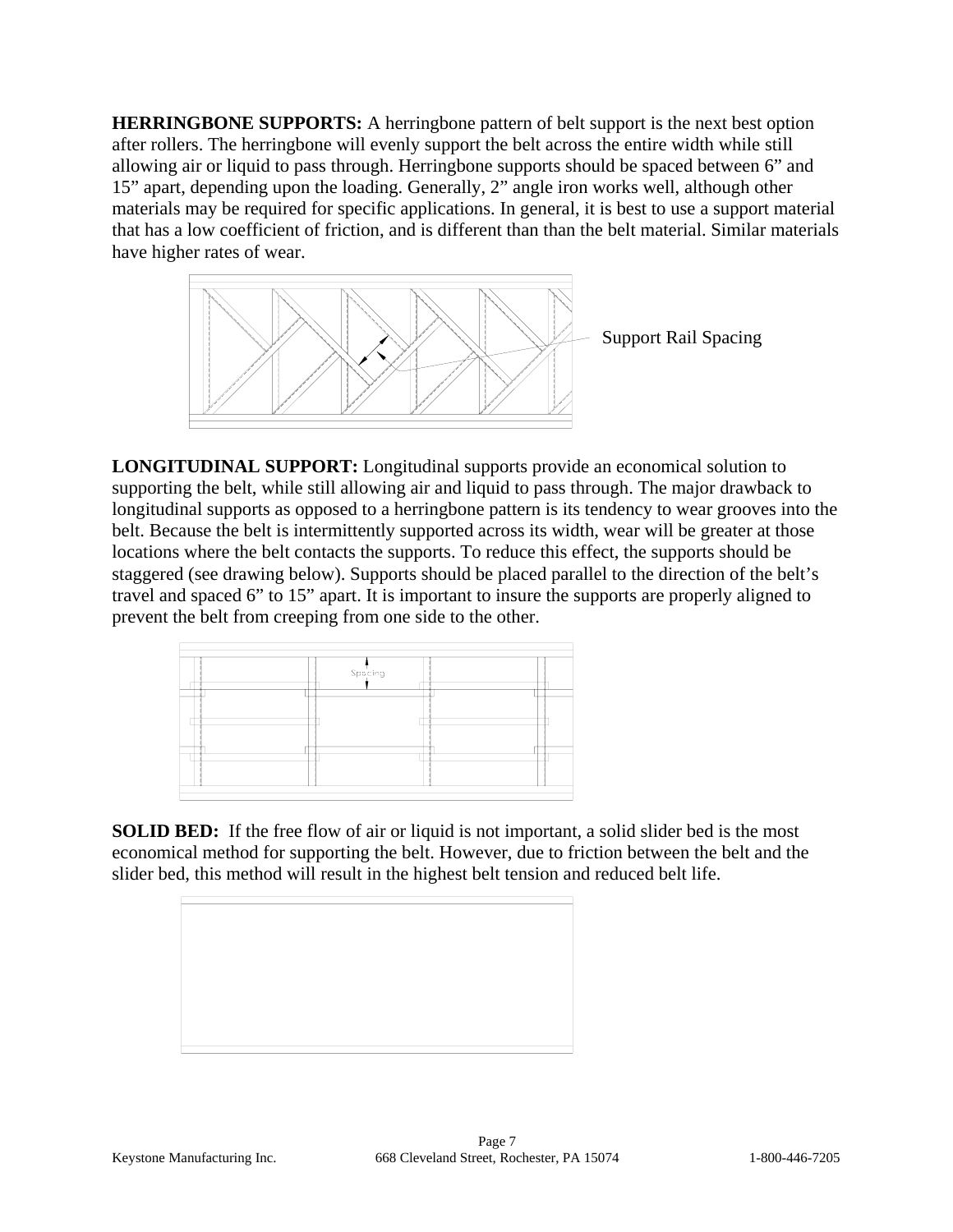**HERRINGBONE SUPPORTS:** A herringbone pattern of belt support is the next best option after rollers. The herringbone will evenly support the belt across the entire width while still allowing air or liquid to pass through. Herringbone supports should be spaced between 6" and 15" apart, depending upon the loading. Generally, 2" angle iron works well, although other materials may be required for specific applications. In general, it is best to use a support material that has a low coefficient of friction, and is different than than the belt material. Similar materials have higher rates of wear.



**LONGITUDINAL SUPPORT:** Longitudinal supports provide an economical solution to supporting the belt, while still allowing air and liquid to pass through. The major drawback to longitudinal supports as opposed to a herringbone pattern is its tendency to wear grooves into the belt. Because the belt is intermittently supported across its width, wear will be greater at those locations where the belt contacts the supports. To reduce this effect, the supports should be staggered (see drawing below). Supports should be placed parallel to the direction of the belt's travel and spaced 6" to 15" apart. It is important to insure the supports are properly aligned to prevent the belt from creeping from one side to the other.



**SOLID BED:** If the free flow of air or liquid is not important, a solid slider bed is the most economical method for supporting the belt. However, due to friction between the belt and the slider bed, this method will result in the highest belt tension and reduced belt life.

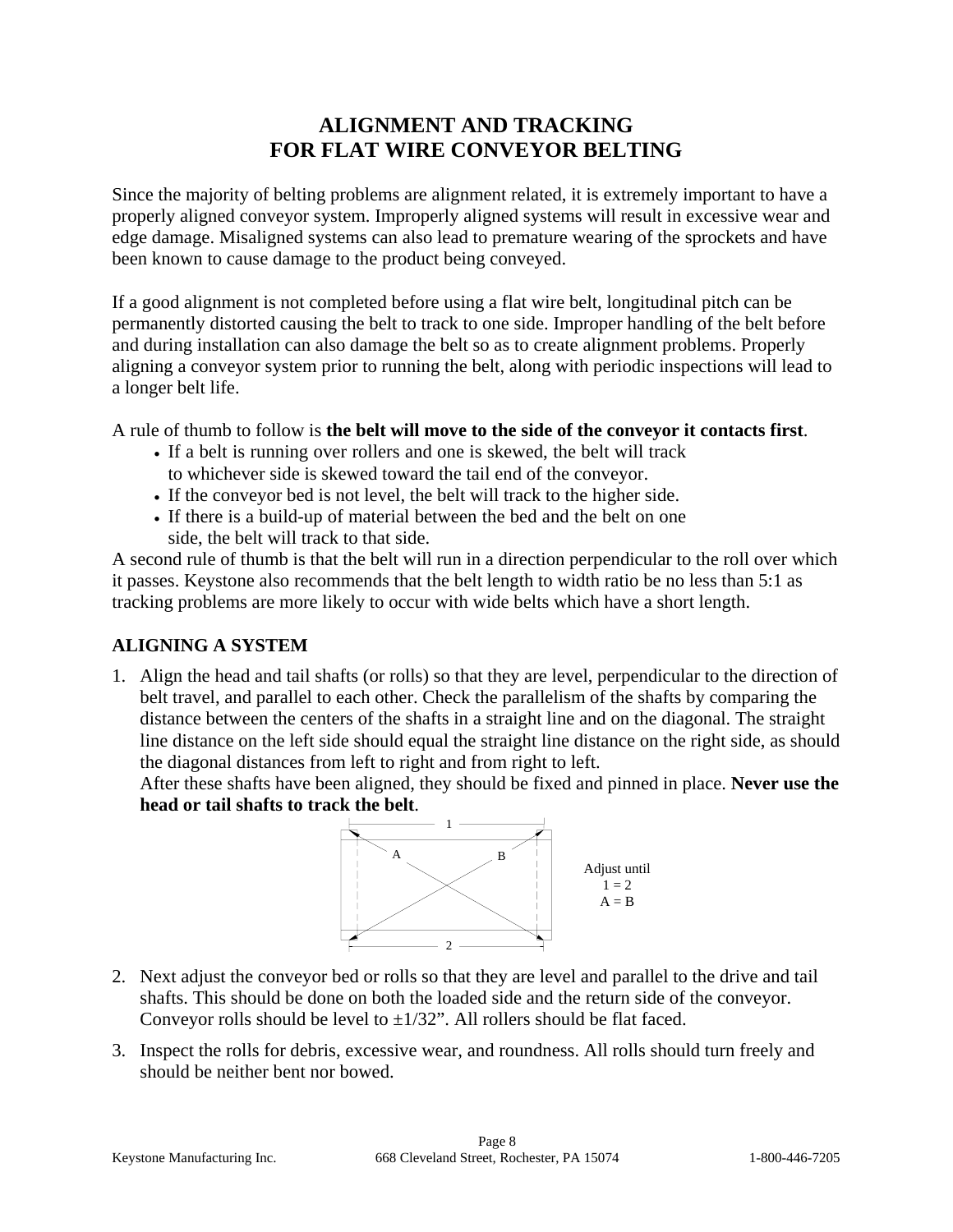## **ALIGNMENT AND TRACKING FOR FLAT WIRE CONVEYOR BELTING**

Since the majority of belting problems are alignment related, it is extremely important to have a properly aligned conveyor system. Improperly aligned systems will result in excessive wear and edge damage. Misaligned systems can also lead to premature wearing of the sprockets and have been known to cause damage to the product being conveyed.

If a good alignment is not completed before using a flat wire belt, longitudinal pitch can be permanently distorted causing the belt to track to one side. Improper handling of the belt before and during installation can also damage the belt so as to create alignment problems. Properly aligning a conveyor system prior to running the belt, along with periodic inspections will lead to a longer belt life.

A rule of thumb to follow is **the belt will move to the side of the conveyor it contacts first**.

- If a belt is running over rollers and one is skewed, the belt will track to whichever side is skewed toward the tail end of the conveyor.
- If the conveyor bed is not level, the belt will track to the higher side.
- If there is a build-up of material between the bed and the belt on one side, the belt will track to that side.

A second rule of thumb is that the belt will run in a direction perpendicular to the roll over which it passes. Keystone also recommends that the belt length to width ratio be no less than 5:1 as tracking problems are more likely to occur with wide belts which have a short length.

## **ALIGNING A SYSTEM**

1. Align the head and tail shafts (or rolls) so that they are level, perpendicular to the direction of belt travel, and parallel to each other. Check the parallelism of the shafts by comparing the distance between the centers of the shafts in a straight line and on the diagonal. The straight line distance on the left side should equal the straight line distance on the right side, as should the diagonal distances from left to right and from right to left.

After these shafts have been aligned, they should be fixed and pinned in place. **Never use the head or tail shafts to track the belt**.



- 2. Next adjust the conveyor bed or rolls so that they are level and parallel to the drive and tail shafts. This should be done on both the loaded side and the return side of the conveyor. Conveyor rolls should be level to  $\pm 1/32$ ". All rollers should be flat faced.
- 3. Inspect the rolls for debris, excessive wear, and roundness. All rolls should turn freely and should be neither bent nor bowed.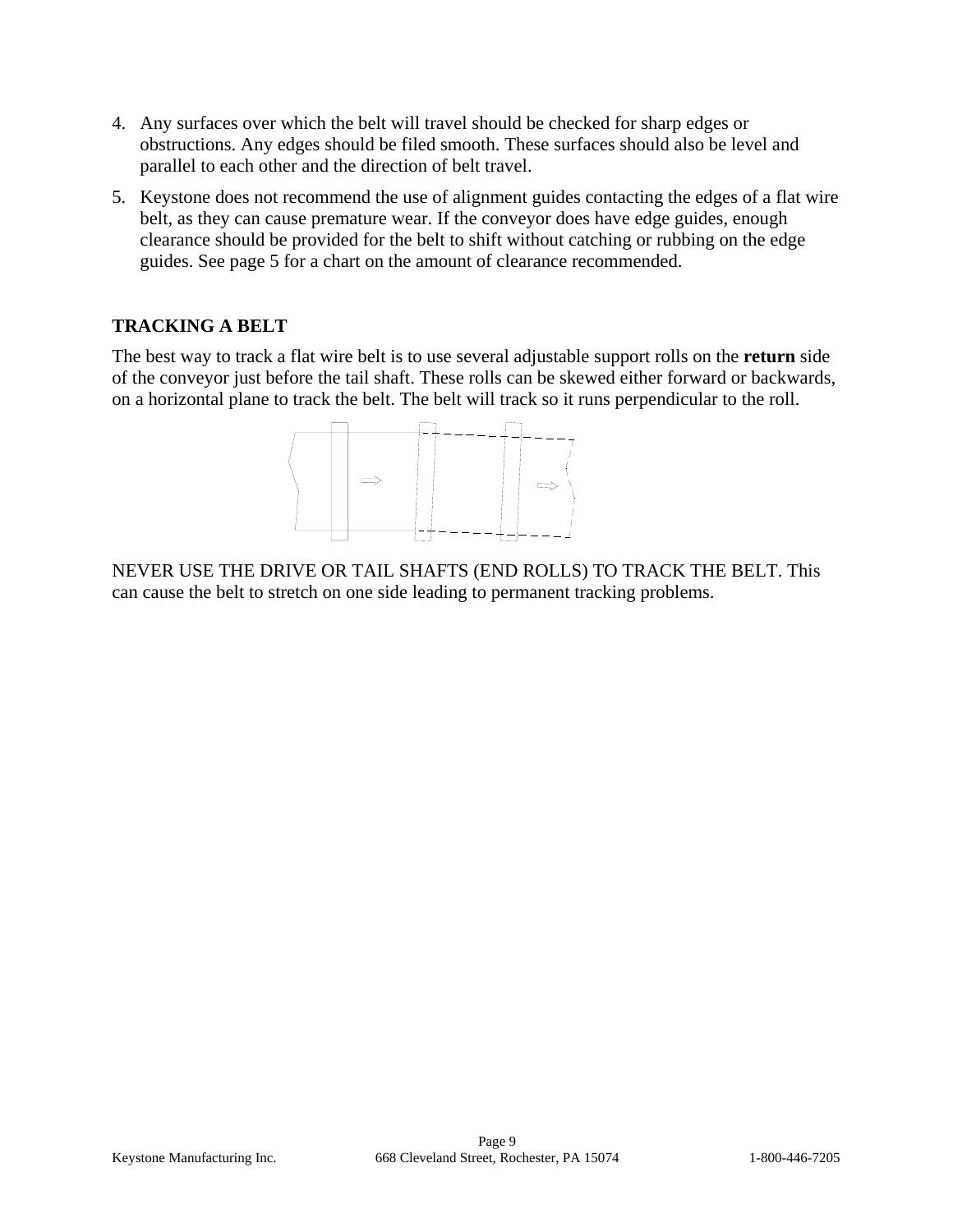- 4. Any surfaces over which the belt will travel should be checked for sharp edges or obstructions. Any edges should be filed smooth. These surfaces should also be level and parallel to each other and the direction of belt travel.
- 5. Keystone does not recommend the use of alignment guides contacting the edges of a flat wire belt, as they can cause premature wear. If the conveyor does have edge guides, enough clearance should be provided for the belt to shift without catching or rubbing on the edge guides. See page 5 for a chart on the amount of clearance recommended.

## **TRACKING A BELT**

The best way to track a flat wire belt is to use several adjustable support rolls on the **return** side of the conveyor just before the tail shaft. These rolls can be skewed either forward or backwards, on a horizontal plane to track the belt. The belt will track so it runs perpendicular to the roll.



NEVER USE THE DRIVE OR TAIL SHAFTS (END ROLLS) TO TRACK THE BELT. This can cause the belt to stretch on one side leading to permanent tracking problems.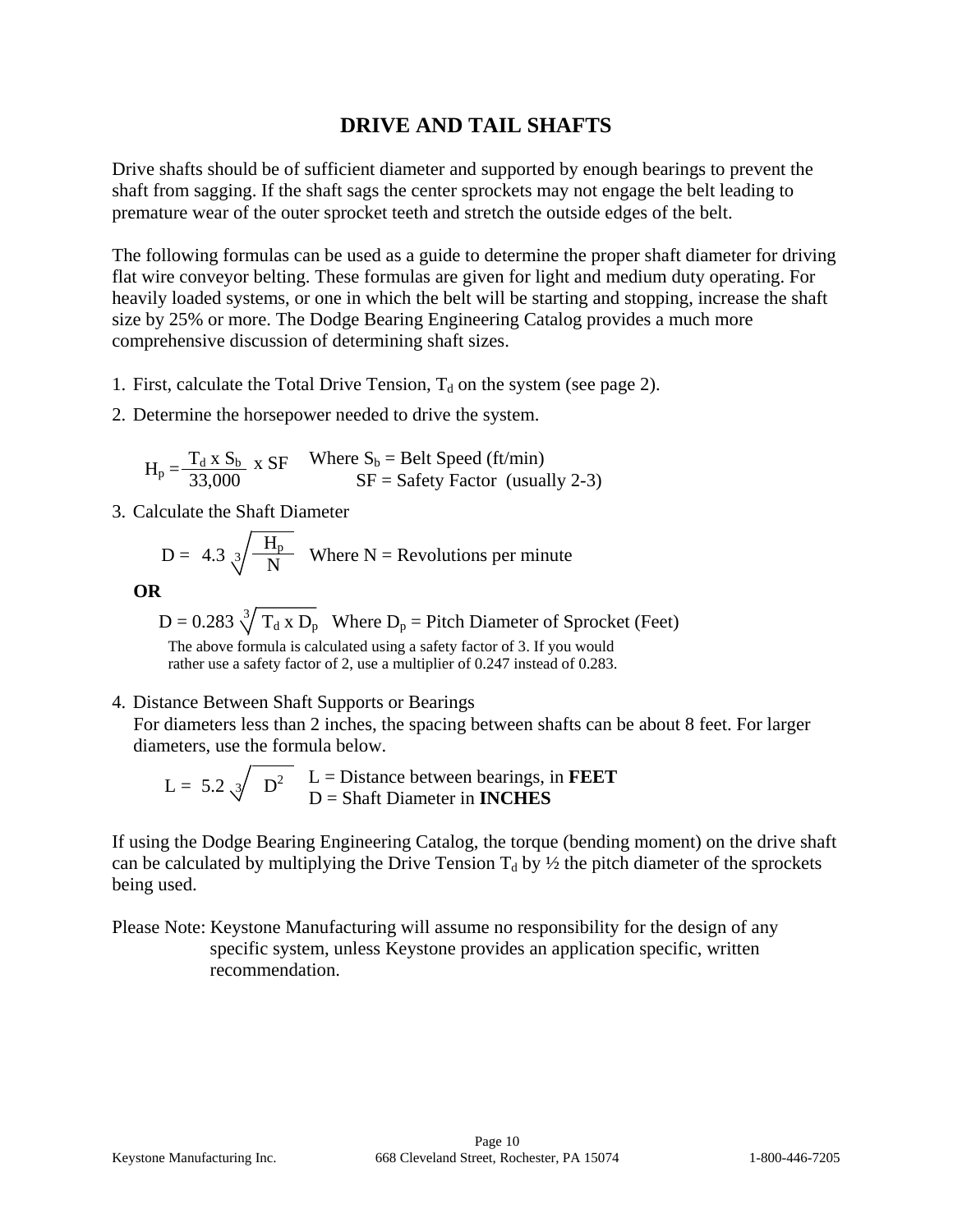## **DRIVE AND TAIL SHAFTS**

Drive shafts should be of sufficient diameter and supported by enough bearings to prevent the shaft from sagging. If the shaft sags the center sprockets may not engage the belt leading to premature wear of the outer sprocket teeth and stretch the outside edges of the belt.

The following formulas can be used as a guide to determine the proper shaft diameter for driving flat wire conveyor belting. These formulas are given for light and medium duty operating. For heavily loaded systems, or one in which the belt will be starting and stopping, increase the shaft size by 25% or more. The Dodge Bearing Engineering Catalog provides a much more comprehensive discussion of determining shaft sizes.

- 1. First, calculate the Total Drive Tension,  $T_d$  on the system (see page 2).
- 2. Determine the horsepower needed to drive the system.

$$
H_p = \frac{T_d \times S_b}{33,000} \times SF
$$
 Where  $S_b$  = Belt Speed (ft/min)  
SF = Safety Factor (usually 2-3)

3. Calculate the Shaft Diameter

$$
D = 4.3 \sqrt[3]{\frac{H_p}{N}}
$$
 Where N = Revolutions per minute

**OR** 

 $D = 0.283 \sqrt[3]{T_d x D_p}$  Where  $D_p =$  Pitch Diameter of Sprocket (Feet) The above formula is calculated using a safety factor of 3. If you would rather use a safety factor of 2, use a multiplier of 0.247 instead of 0.283.

4. Distance Between Shaft Supports or Bearings

For diameters less than 2 inches, the spacing between shafts can be about 8 feet. For larger diameters, use the formula below.

$$
L = 5.2 \sqrt{D^2} \quad L = \text{Distance between bearings, in FEET}
$$
  

$$
D = \text{Shaft Diameter in INCHES
$$

If using the Dodge Bearing Engineering Catalog, the torque (bending moment) on the drive shaft can be calculated by multiplying the Drive Tension  $T_d$  by  $\frac{1}{2}$  the pitch diameter of the sprockets being used.

Please Note: Keystone Manufacturing will assume no responsibility for the design of any specific system, unless Keystone provides an application specific, written recommendation.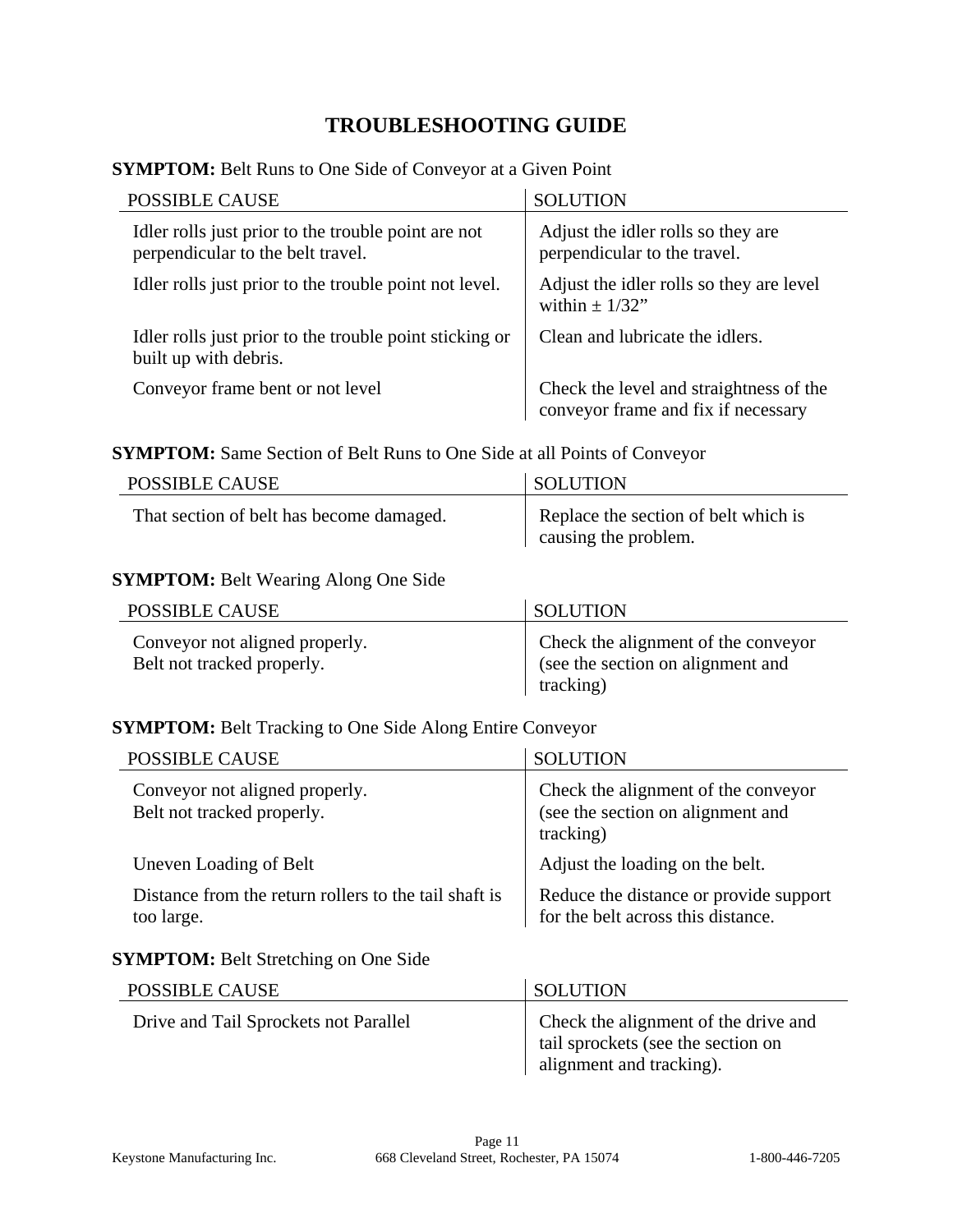## **TROUBLESHOOTING GUIDE**

|  |  |  | <b>SYMPTOM:</b> Belt Runs to One Side of Conveyor at a Given Point |  |
|--|--|--|--------------------------------------------------------------------|--|
|--|--|--|--------------------------------------------------------------------|--|

| <b>POSSIBLE CAUSE</b>                                                                    | <b>SOLUTION</b>                                                                |
|------------------------------------------------------------------------------------------|--------------------------------------------------------------------------------|
| Idler rolls just prior to the trouble point are not<br>perpendicular to the belt travel. | Adjust the idler rolls so they are<br>perpendicular to the travel.             |
| Idler rolls just prior to the trouble point not level.                                   | Adjust the idler rolls so they are level<br>within $\pm$ 1/32"                 |
| Idler rolls just prior to the trouble point sticking or<br>built up with debris.         | Clean and lubricate the idlers.                                                |
| Conveyor frame bent or not level                                                         | Check the level and straightness of the<br>conveyor frame and fix if necessary |

#### **SYMPTOM:** Same Section of Belt Runs to One Side at all Points of Conveyor

| <b>POSSIBLE CAUSE</b>                    | <b>SOLUTION</b>                                              |
|------------------------------------------|--------------------------------------------------------------|
| That section of belt has become damaged. | Replace the section of belt which is<br>causing the problem. |

#### **SYMPTOM:** Belt Wearing Along One Side

| POSSIBLE CAUSE                                               | <b>SOLUTION</b>                                                                       |
|--------------------------------------------------------------|---------------------------------------------------------------------------------------|
| Conveyor not aligned properly.<br>Belt not tracked properly. | Check the alignment of the conveyor<br>(see the section on alignment and<br>tracking) |

#### **SYMPTOM:** Belt Tracking to One Side Along Entire Conveyor

| <b>POSSIBLE CAUSE</b>                                               | <b>SOLUTION</b>                                                                       |
|---------------------------------------------------------------------|---------------------------------------------------------------------------------------|
| Conveyor not aligned properly.<br>Belt not tracked properly.        | Check the alignment of the conveyor<br>(see the section on alignment and<br>tracking) |
| Uneven Loading of Belt                                              | Adjust the loading on the belt.                                                       |
| Distance from the return rollers to the tail shaft is<br>too large. | Reduce the distance or provide support<br>for the belt across this distance.          |

#### **SYMPTOM:** Belt Stretching on One Side

| <b>POSSIBLE CAUSE</b>                 | <b>SOLUTION</b>                                                                                        |
|---------------------------------------|--------------------------------------------------------------------------------------------------------|
| Drive and Tail Sprockets not Parallel | Check the alignment of the drive and<br>tail sprockets (see the section on<br>alignment and tracking). |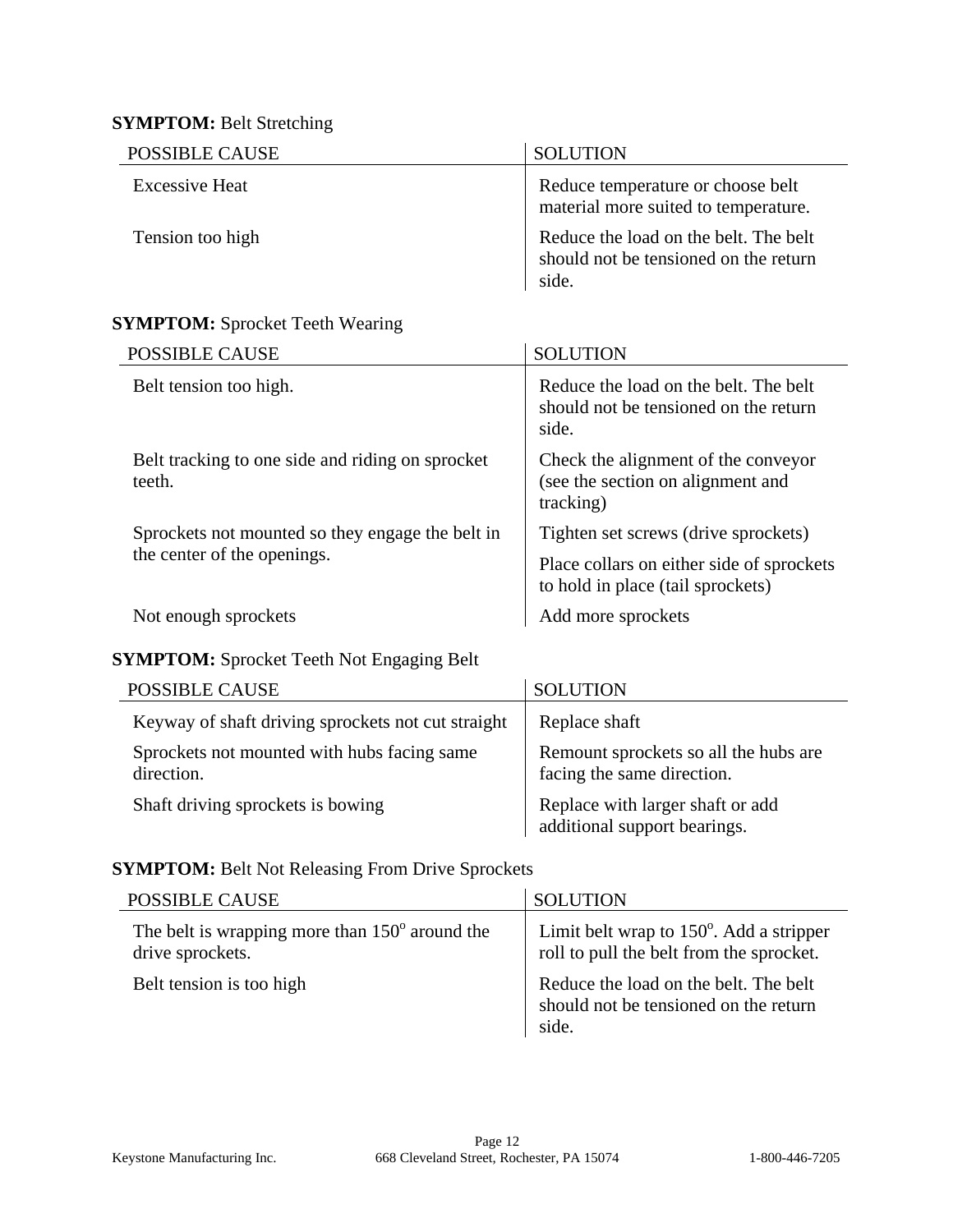## **SYMPTOM:** Belt Stretching

| POSSIBLE CAUSE        | <b>SOLUTION</b>                                                                         |
|-----------------------|-----------------------------------------------------------------------------------------|
| <b>Excessive Heat</b> | Reduce temperature or choose belt<br>material more suited to temperature.               |
| Tension too high      | Reduce the load on the belt. The belt<br>should not be tensioned on the return<br>side. |

#### **SYMPTOM:** Sprocket Teeth Wearing

| <b>POSSIBLE CAUSE</b>                                      | <b>SOLUTION</b>                                                                         |
|------------------------------------------------------------|-----------------------------------------------------------------------------------------|
| Belt tension too high.                                     | Reduce the load on the belt. The belt<br>should not be tensioned on the return<br>side. |
| Belt tracking to one side and riding on sprocket<br>teeth. | Check the alignment of the conveyor<br>(see the section on alignment and<br>tracking)   |
| Sprockets not mounted so they engage the belt in           | Tighten set screws (drive sprockets)                                                    |
| the center of the openings.                                | Place collars on either side of sprockets<br>to hold in place (tail sprockets)          |
| Not enough sprockets                                       | Add more sprockets                                                                      |

## **SYMPTOM:** Sprocket Teeth Not Engaging Belt

| <b>POSSIBLE CAUSE</b>                                     | <b>SOLUTION</b>                                                     |
|-----------------------------------------------------------|---------------------------------------------------------------------|
| Keyway of shaft driving sprockets not cut straight        | Replace shaft                                                       |
| Sprockets not mounted with hubs facing same<br>direction. | Remount sprockets so all the hubs are<br>facing the same direction. |
| Shaft driving sprockets is bowing                         | Replace with larger shaft or add<br>additional support bearings.    |

## **SYMPTOM:** Belt Not Releasing From Drive Sprockets

| <b>POSSIBLE CAUSE</b>                                                       | <b>SOLUTION</b>                                                                               |
|-----------------------------------------------------------------------------|-----------------------------------------------------------------------------------------------|
| The belt is wrapping more than $150^{\circ}$ around the<br>drive sprockets. | Limit belt wrap to $150^{\circ}$ . Add a stripper<br>roll to pull the belt from the sprocket. |
| Belt tension is too high                                                    | Reduce the load on the belt. The belt<br>should not be tensioned on the return<br>side.       |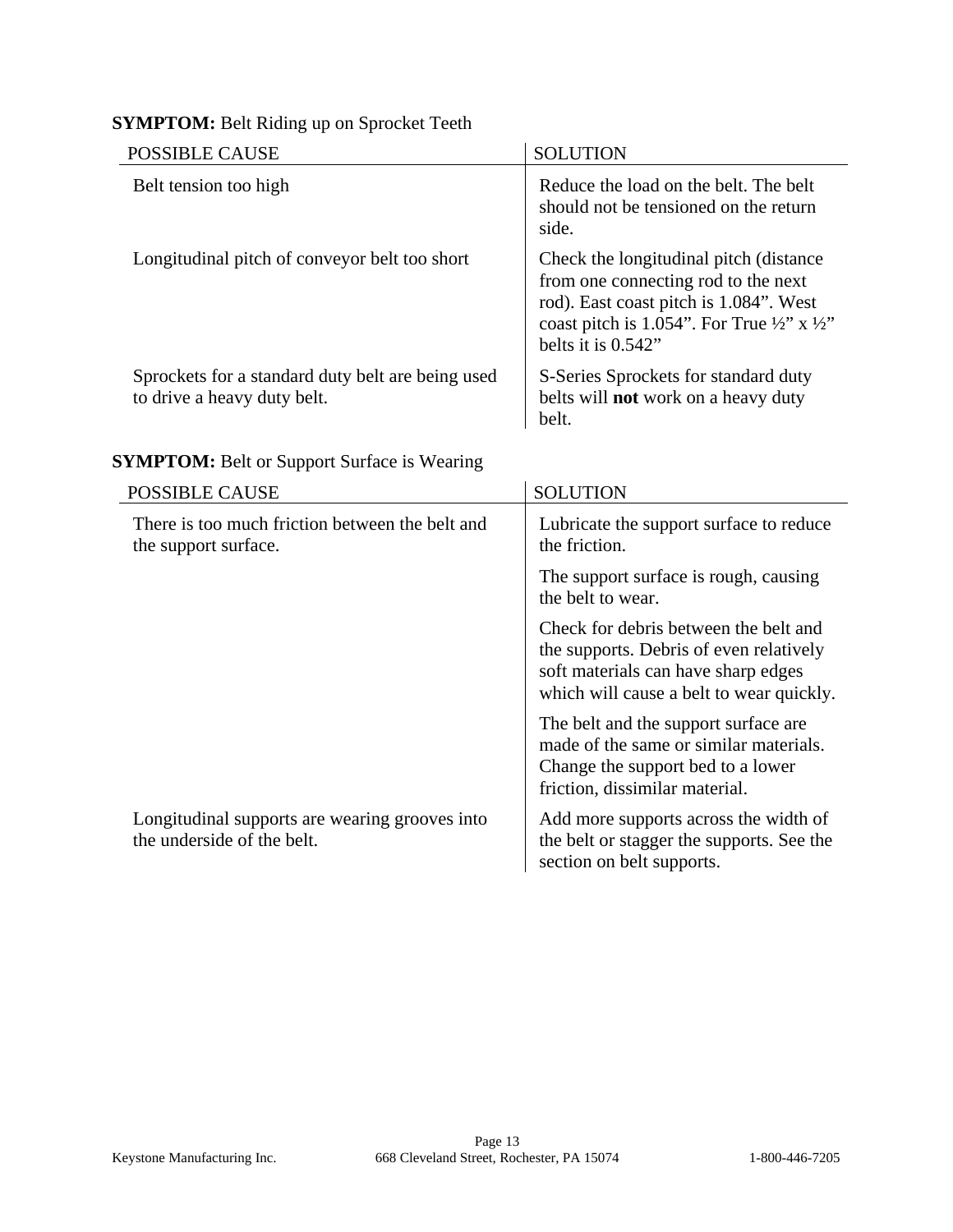## **SYMPTOM:** Belt Riding up on Sprocket Teeth

| <b>POSSIBLE CAUSE</b>                                                            | <b>SOLUTION</b>                                                                                                                                                                                                        |
|----------------------------------------------------------------------------------|------------------------------------------------------------------------------------------------------------------------------------------------------------------------------------------------------------------------|
| Belt tension too high                                                            | Reduce the load on the belt. The belt<br>should not be tensioned on the return<br>side.                                                                                                                                |
| Longitudinal pitch of conveyor belt too short                                    | Check the longitudinal pitch (distance)<br>from one connecting rod to the next<br>rod). East coast pitch is 1.084". West<br>coast pitch is 1.054". For True $\frac{1}{2}$ " x $\frac{1}{2}$ "<br>belts it is $0.542$ " |
| Sprockets for a standard duty belt are being used<br>to drive a heavy duty belt. | S-Series Sprockets for standard duty<br>belts will <b>not</b> work on a heavy duty<br>belt.                                                                                                                            |

## **SYMPTOM:** Belt or Support Surface is Wearing

| <b>POSSIBLE CAUSE</b>                                                        | <b>SOLUTION</b>                                                                                                                                                     |
|------------------------------------------------------------------------------|---------------------------------------------------------------------------------------------------------------------------------------------------------------------|
| There is too much friction between the belt and<br>the support surface.      | Lubricate the support surface to reduce<br>the friction.                                                                                                            |
|                                                                              | The support surface is rough, causing<br>the belt to wear.                                                                                                          |
|                                                                              | Check for debris between the belt and<br>the supports. Debris of even relatively<br>soft materials can have sharp edges<br>which will cause a belt to wear quickly. |
|                                                                              | The belt and the support surface are<br>made of the same or similar materials.<br>Change the support bed to a lower<br>friction, dissimilar material.               |
| Longitudinal supports are wearing grooves into<br>the underside of the belt. | Add more supports across the width of<br>the belt or stagger the supports. See the<br>section on belt supports.                                                     |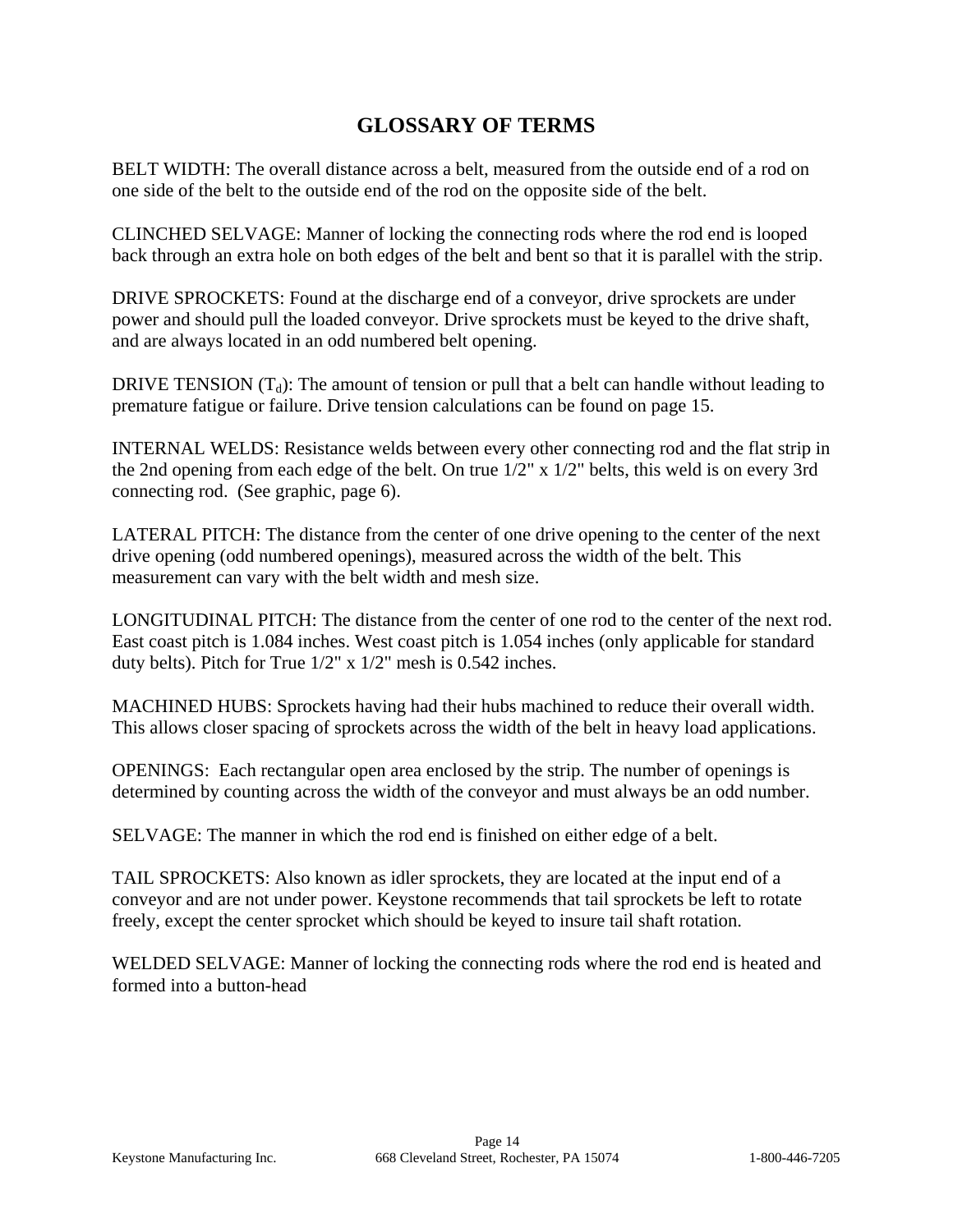## **GLOSSARY OF TERMS**

BELT WIDTH: The overall distance across a belt, measured from the outside end of a rod on one side of the belt to the outside end of the rod on the opposite side of the belt.

CLINCHED SELVAGE: Manner of locking the connecting rods where the rod end is looped back through an extra hole on both edges of the belt and bent so that it is parallel with the strip.

DRIVE SPROCKETS: Found at the discharge end of a conveyor, drive sprockets are under power and should pull the loaded conveyor. Drive sprockets must be keyed to the drive shaft, and are always located in an odd numbered belt opening.

DRIVE TENSION  $(T_d)$ : The amount of tension or pull that a belt can handle without leading to premature fatigue or failure. Drive tension calculations can be found on page 15.

INTERNAL WELDS: Resistance welds between every other connecting rod and the flat strip in the 2nd opening from each edge of the belt. On true 1/2" x 1/2" belts, this weld is on every 3rd connecting rod. (See graphic, page 6).

LATERAL PITCH: The distance from the center of one drive opening to the center of the next drive opening (odd numbered openings), measured across the width of the belt. This measurement can vary with the belt width and mesh size.

LONGITUDINAL PITCH: The distance from the center of one rod to the center of the next rod. East coast pitch is 1.084 inches. West coast pitch is 1.054 inches (only applicable for standard duty belts). Pitch for True 1/2" x 1/2" mesh is 0.542 inches.

MACHINED HUBS: Sprockets having had their hubs machined to reduce their overall width. This allows closer spacing of sprockets across the width of the belt in heavy load applications.

OPENINGS: Each rectangular open area enclosed by the strip. The number of openings is determined by counting across the width of the conveyor and must always be an odd number.

SELVAGE: The manner in which the rod end is finished on either edge of a belt.

TAIL SPROCKETS: Also known as idler sprockets, they are located at the input end of a conveyor and are not under power. Keystone recommends that tail sprockets be left to rotate freely, except the center sprocket which should be keyed to insure tail shaft rotation.

WELDED SELVAGE: Manner of locking the connecting rods where the rod end is heated and formed into a button-head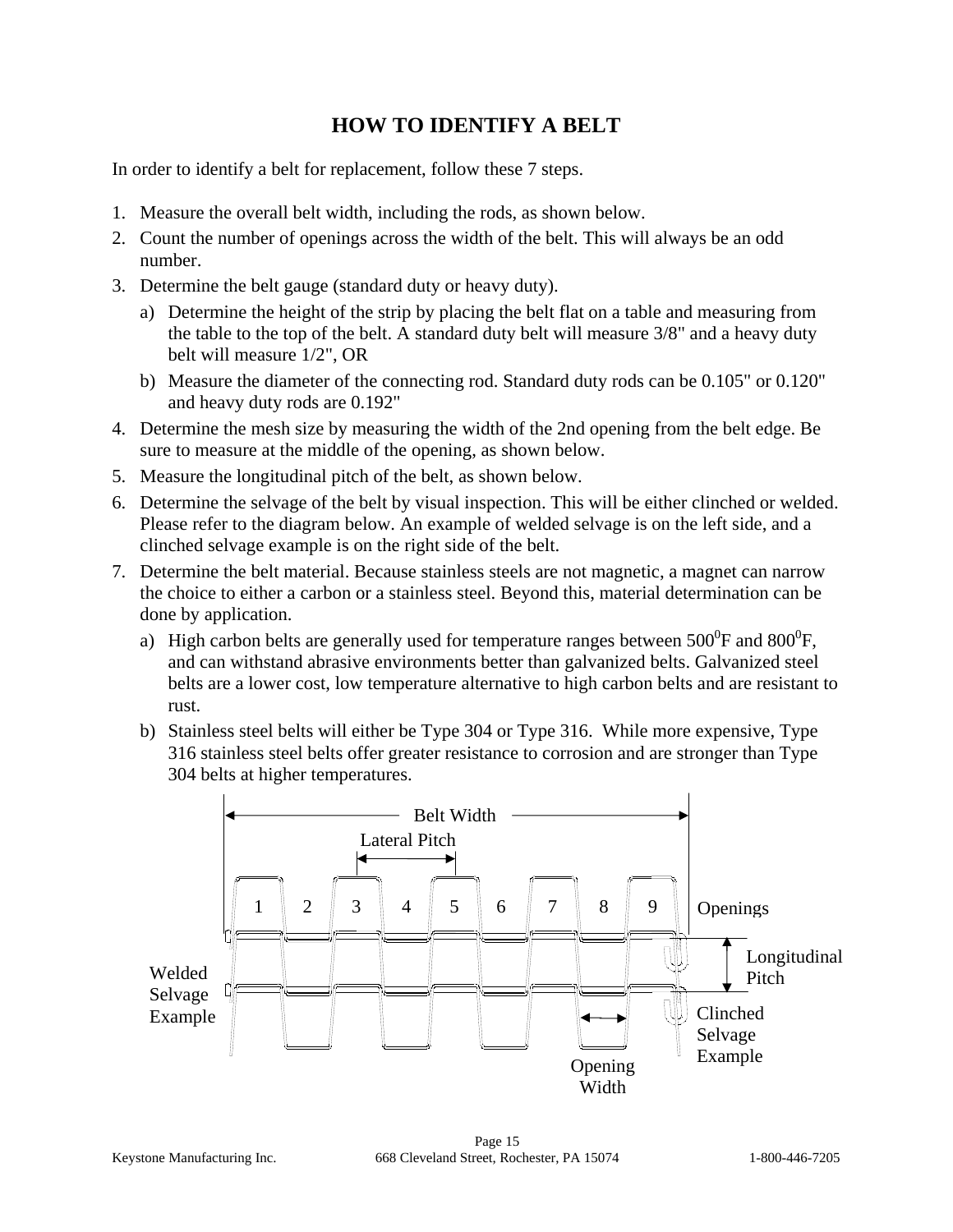## **HOW TO IDENTIFY A BELT**

In order to identify a belt for replacement, follow these 7 steps.

- 1. Measure the overall belt width, including the rods, as shown below.
- 2. Count the number of openings across the width of the belt. This will always be an odd number.
- 3. Determine the belt gauge (standard duty or heavy duty).
	- a) Determine the height of the strip by placing the belt flat on a table and measuring from the table to the top of the belt. A standard duty belt will measure 3/8" and a heavy duty belt will measure 1/2", OR
	- b) Measure the diameter of the connecting rod. Standard duty rods can be 0.105" or 0.120" and heavy duty rods are 0.192"
- 4. Determine the mesh size by measuring the width of the 2nd opening from the belt edge. Be sure to measure at the middle of the opening, as shown below.
- 5. Measure the longitudinal pitch of the belt, as shown below.
- 6. Determine the selvage of the belt by visual inspection. This will be either clinched or welded. Please refer to the diagram below. An example of welded selvage is on the left side, and a clinched selvage example is on the right side of the belt.
- 7. Determine the belt material. Because stainless steels are not magnetic, a magnet can narrow the choice to either a carbon or a stainless steel. Beyond this, material determination can be done by application.
	- a) High carbon belts are generally used for temperature ranges between 500<sup>0</sup>F and 800<sup>0</sup>F, and can withstand abrasive environments better than galvanized belts. Galvanized steel belts are a lower cost, low temperature alternative to high carbon belts and are resistant to rust.
	- b) Stainless steel belts will either be Type 304 or Type 316. While more expensive, Type 316 stainless steel belts offer greater resistance to corrosion and are stronger than Type 304 belts at higher temperatures.